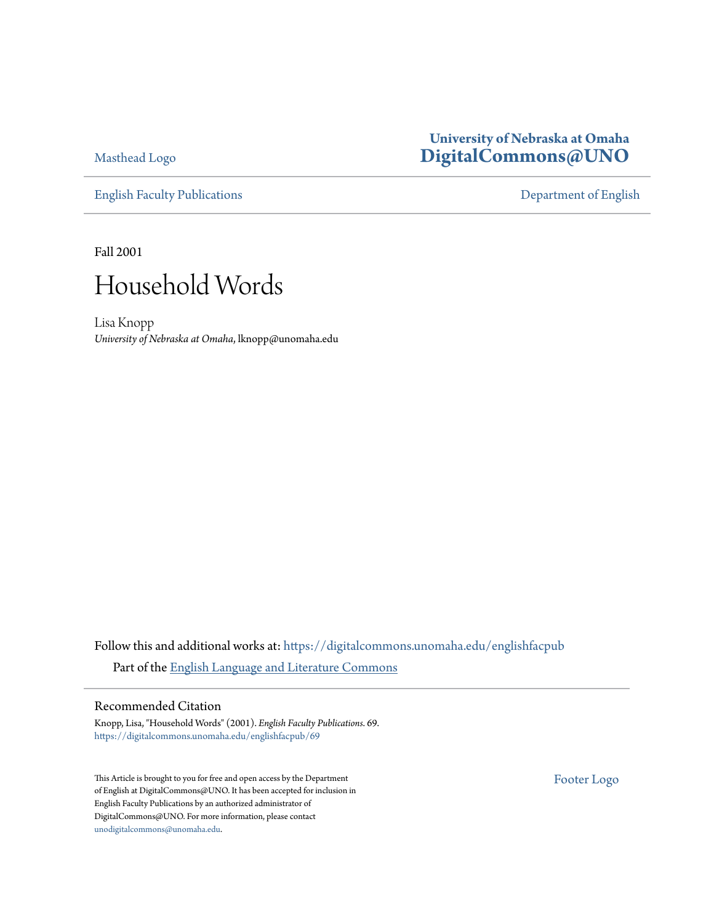[Masthead Logo](http://www.unomaha.edu/?utm_source=digitalcommons.unomaha.edu%2Fenglishfacpub%2F69&utm_medium=PDF&utm_campaign=PDFCoverPages)

[English Faculty Publications](https://digitalcommons.unomaha.edu/englishfacpub?utm_source=digitalcommons.unomaha.edu%2Fenglishfacpub%2F69&utm_medium=PDF&utm_campaign=PDFCoverPages) [Department of English](https://digitalcommons.unomaha.edu/english?utm_source=digitalcommons.unomaha.edu%2Fenglishfacpub%2F69&utm_medium=PDF&utm_campaign=PDFCoverPages)

#### **University of Nebraska at Omaha [DigitalCommons@UNO](https://digitalcommons.unomaha.edu?utm_source=digitalcommons.unomaha.edu%2Fenglishfacpub%2F69&utm_medium=PDF&utm_campaign=PDFCoverPages)**

Fall 2001



Lisa Knopp *University of Nebraska at Omaha*, lknopp@unomaha.edu

Follow this and additional works at: [https://digitalcommons.unomaha.edu/englishfacpub](https://digitalcommons.unomaha.edu/englishfacpub?utm_source=digitalcommons.unomaha.edu%2Fenglishfacpub%2F69&utm_medium=PDF&utm_campaign=PDFCoverPages) Part of the [English Language and Literature Commons](http://network.bepress.com/hgg/discipline/455?utm_source=digitalcommons.unomaha.edu%2Fenglishfacpub%2F69&utm_medium=PDF&utm_campaign=PDFCoverPages)

#### Recommended Citation

Knopp, Lisa, "Household Words" (2001). *English Faculty Publications*. 69. [https://digitalcommons.unomaha.edu/englishfacpub/69](https://digitalcommons.unomaha.edu/englishfacpub/69?utm_source=digitalcommons.unomaha.edu%2Fenglishfacpub%2F69&utm_medium=PDF&utm_campaign=PDFCoverPages)

This Article is brought to you for free and open access by the Department of English at DigitalCommons@UNO. It has been accepted for inclusion in English Faculty Publications by an authorized administrator of DigitalCommons@UNO. For more information, please contact [unodigitalcommons@unomaha.edu](mailto:unodigitalcommons@unomaha.edu).

[Footer Logo](http://library.unomaha.edu/?utm_source=digitalcommons.unomaha.edu%2Fenglishfacpub%2F69&utm_medium=PDF&utm_campaign=PDFCoverPages)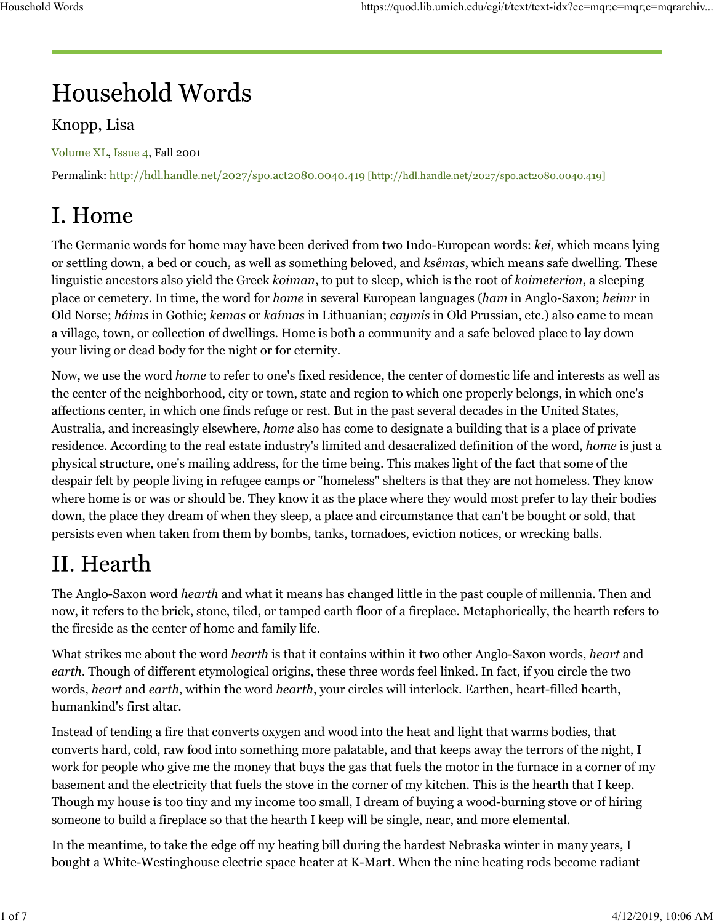# **Household Words**

#### Knopp, Lisa

Volume XL, Issue 4, Fall 2001

Permalink: http://hdl.handle.net/2027/spo.act2080.0040.419 [http://hdl.handle.net/2027/spo.act2080.0040.419]

# I. Home

The Germanic words for home may have been derived from two Indo-European words: *kei*, which means lying or settling down, a bed or couch, as well as something beloved, and *ksêmas*, which means safe dwelling. These linguistic ancestors also yield the Greek *koiman*, to put to sleep, which is the root of *koimeterion*, a sleeping place or cemetery. In time, the word for *home* in several European languages (*ham* in Anglo-Saxon; *heimr* in Old Norse; *háims* in Gothic; *kemas* or *kaímas* in Lithuanian; *caymis* in Old Prussian, etc.) also came to mean a village, town, or collection of dwellings. Home is both a community and a safe beloved place to lay down your living or dead body for the night or for eternity.

Now, we use the word *home* to refer to one's fixed residence, the center of domestic life and interests as well as the center of the neighborhood, city or town, state and region to which one properly belongs, in which one's affections center, in which one finds refuge or rest. But in the past several decades in the United States, Australia, and increasingly elsewhere, *home* also has come to designate a building that is a place of private residence. According to the real estate industry's limited and desacralized definition of the word, *home* is just a physical structure, one's mailing address, for the time being. This makes light of the fact that some of the despair felt by people living in refugee camps or "homeless" shelters is that they are not homeless. They know where home is or was or should be. They know it as the place where they would most prefer to lay their bodies down, the place they dream of when they sleep, a place and circumstance that can't be bought or sold, that persists even when taken from them by bombs, tanks, tornadoes, eviction notices, or wrecking balls.

# II. Hearth

The Anglo-Saxon word *hearth* and what it means has changed little in the past couple of millennia. Then and now, it refers to the brick, stone, tiled, or tamped earth floor of a fireplace. Metaphorically, the hearth refers to the fireside as the center of home and family life.

What strikes me about the word *hearth* is that it contains within it two other Anglo-Saxon words, *heart* and *earth*. Though of different etymological origins, these three words feel linked. In fact, if you circle the two words, *heart* and *earth*, within the word *hearth*, your circles will interlock. Earthen, heart-filled hearth, humankind's first altar.

Instead of tending a fire that converts oxygen and wood into the heat and light that warms bodies, that converts hard, cold, raw food into something more palatable, and that keeps away the terrors of the night, I work for people who give me the money that buys the gas that fuels the motor in the furnace in a corner of my basement and the electricity that fuels the stove in the corner of my kitchen. This is the hearth that I keep. Though my house is too tiny and my income too small, I dream of buying a wood-burning stove or of hiring someone to build a fireplace so that the hearth I keep will be single, near, and more elemental.

In the meantime, to take the edge off my heating bill during the hardest Nebraska winter in many years, I bought a White-Westinghouse electric space heater at K-Mart. When the nine heating rods become radiant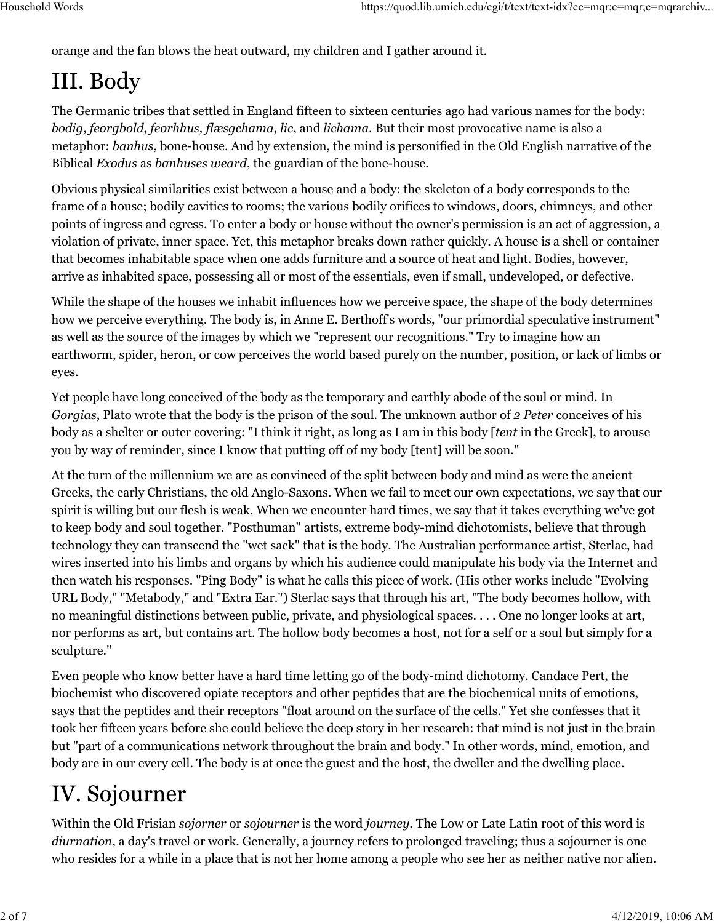orange and the fan blows the heat outward, my children and I gather around it.

# III. Body

The Germanic tribes that settled in England fifteen to sixteen centuries ago had various names for the body: *bodig, feorgbold, feorhhus, flæsgchama, lic*, and *lichama*. But their most provocative name is also a metaphor: *banhus*, bone-house. And by extension, the mind is personified in the Old English narrative of the Biblical *Exodus* as *banhuses weard*, the guardian of the bone-house.

Obvious physical similarities exist between a house and a body: the skeleton of a body corresponds to the frame of a house; bodily cavities to rooms; the various bodily orifices to windows, doors, chimneys, and other points of ingress and egress. To enter a body or house without the owner's permission is an act of aggression, a violation of private, inner space. Yet, this metaphor breaks down rather quickly. A house is a shell or container that becomes inhabitable space when one adds furniture and a source of heat and light. Bodies, however, arrive as inhabited space, possessing all or most of the essentials, even if small, undeveloped, or defective.

While the shape of the houses we inhabit influences how we perceive space, the shape of the body determines how we perceive everything. The body is, in Anne E. Berthoff's words, "our primordial speculative instrument" as well as the source of the images by which we "represent our recognitions." Try to imagine how an earthworm, spider, heron, or cow perceives the world based purely on the number, position, or lack of limbs or eyes.

Yet people have long conceived of the body as the temporary and earthly abode of the soul or mind. In *Gorgias*, Plato wrote that the body is the prison of the soul. The unknown author of *2 Peter* conceives of his body as a shelter or outer covering: "I think it right, as long as I am in this body [*tent* in the Greek], to arouse you by way of reminder, since I know that putting off of my body [tent] will be soon."

At the turn of the millennium we are as convinced of the split between body and mind as were the ancient Greeks, the early Christians, the old Anglo-Saxons. When we fail to meet our own expectations, we say that our spirit is willing but our flesh is weak. When we encounter hard times, we say that it takes everything we've got to keep body and soul together. "Posthuman" artists, extreme body-mind dichotomists, believe that through technology they can transcend the "wet sack" that is the body. The Australian performance artist, Sterlac, had wires inserted into his limbs and organs by which his audience could manipulate his body via the Internet and then watch his responses. "Ping Body" is what he calls this piece of work. (His other works include "Evolving URL Body," "Metabody," and "Extra Ear.") Sterlac says that through his art, "The body becomes hollow, with no meaningful distinctions between public, private, and physiological spaces. . . . One no longer looks at art, nor performs as art, but contains art. The hollow body becomes a host, not for a self or a soul but simply for a sculpture."

Even people who know better have a hard time letting go of the body-mind dichotomy. Candace Pert, the biochemist who discovered opiate receptors and other peptides that are the biochemical units of emotions, says that the peptides and their receptors "float around on the surface of the cells." Yet she confesses that it took her fifteen years before she could believe the deep story in her research: that mind is not just in the brain but "part of a communications network throughout the brain and body." In other words, mind, emotion, and body are in our every cell. The body is at once the guest and the host, the dweller and the dwelling place.

# IV. Sojourner

Within the Old Frisian *sojorner* or *sojourner* is the word *journey*. The Low or Late Latin root of this word is *diurnation*, a day's travel or work. Generally, a journey refers to prolonged traveling; thus a sojourner is one who resides for a while in a place that is not her home among a people who see her as neither native nor alien.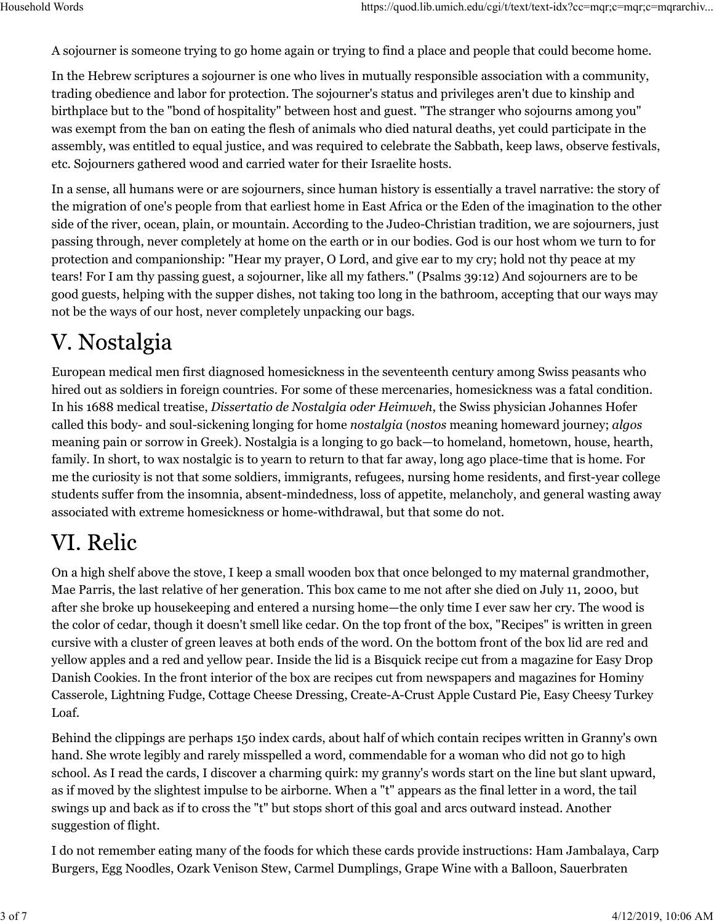A sojourner is someone trying to go home again or trying to find a place and people that could become home.

In the Hebrew scriptures a sojourner is one who lives in mutually responsible association with a community, trading obedience and labor for protection. The sojourner's status and privileges aren't due to kinship and birthplace but to the "bond of hospitality" between host and guest. "The stranger who sojourns among you" was exempt from the ban on eating the flesh of animals who died natural deaths, yet could participate in the assembly, was entitled to equal justice, and was required to celebrate the Sabbath, keep laws, observe festivals, etc. Sojourners gathered wood and carried water for their Israelite hosts.

In a sense, all humans were or are sojourners, since human history is essentially a travel narrative: the story of the migration of one's people from that earliest home in East Africa or the Eden of the imagination to the other side of the river, ocean, plain, or mountain. According to the Judeo-Christian tradition, we are sojourners, just passing through, never completely at home on the earth or in our bodies. God is our host whom we turn to for protection and companionship: "Hear my prayer, O Lord, and give ear to my cry; hold not thy peace at my tears! For I am thy passing guest, a sojourner, like all my fathers." (Psalms 39:12) And sojourners are to be good guests, helping with the supper dishes, not taking too long in the bathroom, accepting that our ways may not be the ways of our host, never completely unpacking our bags.

#### V. Nostalgia

European medical men first diagnosed homesickness in the seventeenth century among Swiss peasants who hired out as soldiers in foreign countries. For some of these mercenaries, homesickness was a fatal condition. In his 1688 medical treatise, *Dissertatio de Nostalgia oder Heimweh*, the Swiss physician Johannes Hofer called this body- and soul-sickening longing for home *nostalgia* (*nostos* meaning homeward journey; *algos* meaning pain or sorrow in Greek). Nostalgia is a longing to go back—to homeland, hometown, house, hearth, family. In short, to wax nostalgic is to yearn to return to that far away, long ago place-time that is home. For me the curiosity is not that some soldiers, immigrants, refugees, nursing home residents, and first-year college students suffer from the insomnia, absent-mindedness, loss of appetite, melancholy, and general wasting away associated with extreme homesickness or home-withdrawal, but that some do not.

### VI. Relic

On a high shelf above the stove, I keep a small wooden box that once belonged to my maternal grandmother, Mae Parris, the last relative of her generation. This box came to me not after she died on July 11, 2000, but after she broke up housekeeping and entered a nursing home—the only time I ever saw her cry. The wood is the color of cedar, though it doesn't smell like cedar. On the top front of the box, "Recipes" is written in green cursive with a cluster of green leaves at both ends of the word. On the bottom front of the box lid are red and yellow apples and a red and yellow pear. Inside the lid is a Bisquick recipe cut from a magazine for Easy Drop Danish Cookies. In the front interior of the box are recipes cut from newspapers and magazines for Hominy Casserole, Lightning Fudge, Cottage Cheese Dressing, Create-A-Crust Apple Custard Pie, Easy Cheesy Turkey Loaf.

Behind the clippings are perhaps 150 index cards, about half of which contain recipes written in Granny's own hand. She wrote legibly and rarely misspelled a word, commendable for a woman who did not go to high school. As I read the cards, I discover a charming quirk: my granny's words start on the line but slant upward, as if moved by the slightest impulse to be airborne. When a "t" appears as the final letter in a word, the tail swings up and back as if to cross the "t" but stops short of this goal and arcs outward instead. Another suggestion of flight.

I do not remember eating many of the foods for which these cards provide instructions: Ham Jambalaya, Carp Burgers, Egg Noodles, Ozark Venison Stew, Carmel Dumplings, Grape Wine with a Balloon, Sauerbraten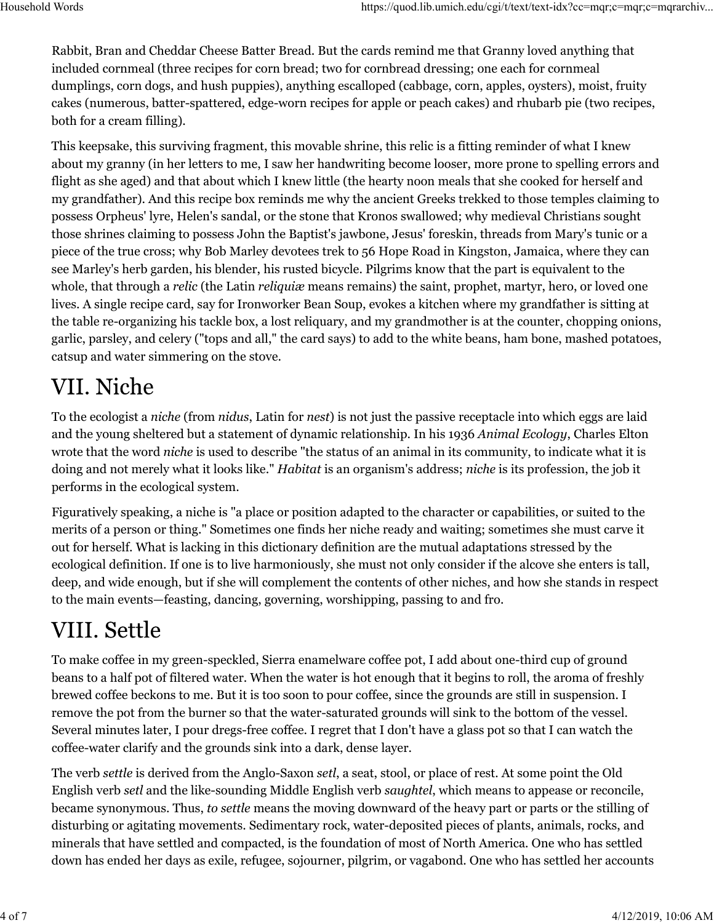Rabbit, Bran and Cheddar Cheese Batter Bread. But the cards remind me that Granny loved anything that included cornmeal (three recipes for corn bread; two for cornbread dressing; one each for cornmeal dumplings, corn dogs, and hush puppies), anything escalloped (cabbage, corn, apples, oysters), moist, fruity cakes (numerous, batter-spattered, edge-worn recipes for apple or peach cakes) and rhubarb pie (two recipes, both for a cream filling).

This keepsake, this surviving fragment, this movable shrine, this relic is a fitting reminder of what I knew about my granny (in her letters to me, I saw her handwriting become looser, more prone to spelling errors and flight as she aged) and that about which I knew little (the hearty noon meals that she cooked for herself and my grandfather). And this recipe box reminds me why the ancient Greeks trekked to those temples claiming to possess Orpheus' lyre, Helen's sandal, or the stone that Kronos swallowed; why medieval Christians sought those shrines claiming to possess John the Baptist's jawbone, Jesus' foreskin, threads from Mary's tunic or a piece of the true cross; why Bob Marley devotees trek to 56 Hope Road in Kingston, Jamaica, where they can see Marley's herb garden, his blender, his rusted bicycle. Pilgrims know that the part is equivalent to the whole, that through a *relic* (the Latin *reliquiæ* means remains) the saint, prophet, martyr, hero, or loved one lives. A single recipe card, say for Ironworker Bean Soup, evokes a kitchen where my grandfather is sitting at the table re-organizing his tackle box, a lost reliquary, and my grandmother is at the counter, chopping onions, garlic, parsley, and celery ("tops and all," the card says) to add to the white beans, ham bone, mashed potatoes, catsup and water simmering on the stove.

### VII. Niche

To the ecologist a *niche* (from *nidus*, Latin for *nest*) is not just the passive receptacle into which eggs are laid and the young sheltered but a statement of dynamic relationship. In his 1936 *Animal Ecology*, Charles Elton wrote that the word *niche* is used to describe "the status of an animal in its community, to indicate what it is doing and not merely what it looks like." *Habitat* is an organism's address; *niche* is its profession, the job it performs in the ecological system.

Figuratively speaking, a niche is "a place or position adapted to the character or capabilities, or suited to the merits of a person or thing." Sometimes one finds her niche ready and waiting; sometimes she must carve it out for herself. What is lacking in this dictionary definition are the mutual adaptations stressed by the ecological definition. If one is to live harmoniously, she must not only consider if the alcove she enters is tall, deep, and wide enough, but if she will complement the contents of other niches, and how she stands in respect to the main events—feasting, dancing, governing, worshipping, passing to and fro.

# VIII. Settle

To make coffee in my green-speckled, Sierra enamelware coffee pot, I add about one-third cup of ground beans to a half pot of filtered water. When the water is hot enough that it begins to roll, the aroma of freshly brewed coffee beckons to me. But it is too soon to pour coffee, since the grounds are still in suspension. I remove the pot from the burner so that the water-saturated grounds will sink to the bottom of the vessel. Several minutes later, I pour dregs-free coffee. I regret that I don't have a glass pot so that I can watch the coffee-water clarify and the grounds sink into a dark, dense layer.

The verb *settle* is derived from the Anglo-Saxon *setl*, a seat, stool, or place of rest. At some point the Old English verb *setl* and the like-sounding Middle English verb *saughtel*, which means to appease or reconcile, became synonymous. Thus, *to settle* means the moving downward of the heavy part or parts or the stilling of disturbing or agitating movements. Sedimentary rock, water-deposited pieces of plants, animals, rocks, and minerals that have settled and compacted, is the foundation of most of North America. One who has settled down has ended her days as exile, refugee, sojourner, pilgrim, or vagabond. One who has settled her accounts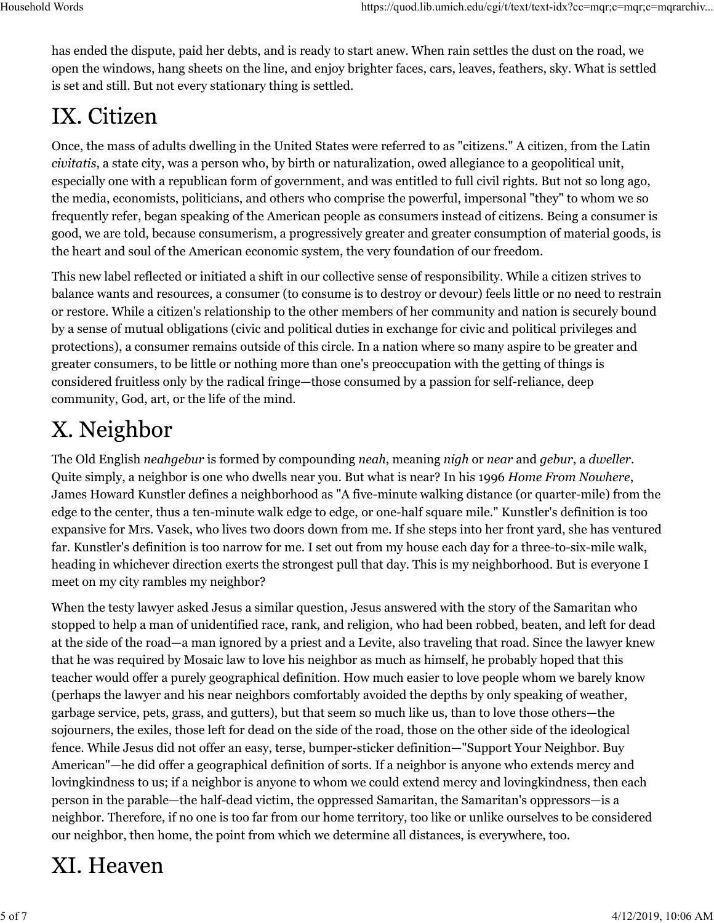has ended the dispute, paid her debts, and is ready to start anew. When rain settles the dust on the road, we open the windows, hang sheets on the line, and enjoy brighter faces, cars, leaves, feathers, sky. What is settled is set and still. But not every stationary thing is settled.

## IX. Citizen

Once, the mass of adults dwelling in the United States were referred to as "citizens." A citizen, from the Latin *civitatis*, a state city, was a person who, by birth or naturalization, owed allegiance to a geopolitical unit, especially one with a republican form of government, and was entitled to full civil rights. But not so long ago, the media, economists, politicians, and others who comprise the powerful, impersonal "they" to whom we so frequently refer, began speaking of the American people as consumers instead of citizens. Being a consumer is good, we are told, because consumerism, a progressively greater and greater consumption of material goods, is the heart and soul of the American economic system, the very foundation of our freedom.

This new label reflected or initiated a shift in our collective sense of responsibility. While a citizen strives to balance wants and resources, a consumer (to consume is to destroy or devour) feels little or no need to restrain or restore. While a citizen's relationship to the other members of her community and nation is securely bound by a sense of mutual obligations (civic and political duties in exchange for civic and political privileges and protections), a consumer remains outside of this circle. In a nation where so many aspire to be greater and greater consumers, to be little or nothing more than one's preoccupation with the getting of things is considered fruitless only by the radical fringe—those consumed by a passion for self-reliance, deep community, God, art, or the life of the mind.

# X. Neighbor

The Old English *neahgebur* is formed by compounding *neah*, meaning *nigh* or *near* and *gebur*, a *dweller*. Quite simply, a neighbor is one who dwells near you. But what is near? In his 1996 *Home From Nowhere*, James Howard Kunstler defines a neighborhood as "A five-minute walking distance (or quarter-mile) from the edge to the center, thus a ten-minute walk edge to edge, or one-half square mile." Kunstler's definition is too expansive for Mrs. Vasek, who lives two doors down from me. If she steps into her front yard, she has ventured far. Kunstler's definition is too narrow for me. I set out from my house each day for a three-to-six-mile walk, heading in whichever direction exerts the strongest pull that day. This is my neighborhood. But is everyone I meet on my city rambles my neighbor?

When the testy lawyer asked Jesus a similar question, Jesus answered with the story of the Samaritan who stopped to help a man of unidentified race, rank, and religion, who had been robbed, beaten, and left for dead at the side of the road—a man ignored by a priest and a Levite, also traveling that road. Since the lawyer knew that he was required by Mosaic law to love his neighbor as much as himself, he probably hoped that this teacher would offer a purely geographical definition. How much easier to love people whom we barely know (perhaps the lawyer and his near neighbors comfortably avoided the depths by only speaking of weather, garbage service, pets, grass, and gutters), but that seem so much like us, than to love those others—the sojourners, the exiles, those left for dead on the side of the road, those on the other side of the ideological fence. While Jesus did not offer an easy, terse, bumper-sticker definition—"Support Your Neighbor. Buy American"—he did offer a geographical definition of sorts. If a neighbor is anyone who extends mercy and lovingkindness to us; if a neighbor is anyone to whom we could extend mercy and lovingkindness, then each person in the parable—the half-dead victim, the oppressed Samaritan, the Samaritan's oppressors—is a neighbor. Therefore, if no one is too far from our home territory, too like or unlike ourselves to be considered our neighbor, then home, the point from which we determine all distances, is everywhere, too.

## XI. Heaven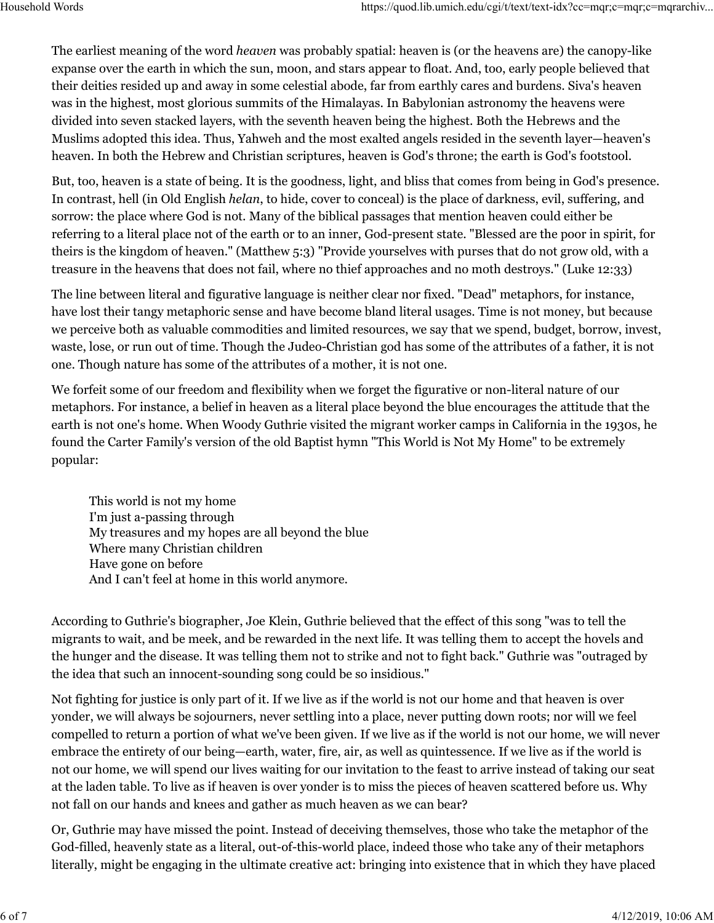The earliest meaning of the word *heaven* was probably spatial: heaven is (or the heavens are) the canopy-like expanse over the earth in which the sun, moon, and stars appear to float. And, too, early people believed that their deities resided up and away in some celestial abode, far from earthly cares and burdens. Siva's heaven was in the highest, most glorious summits of the Himalayas. In Babylonian astronomy the heavens were divided into seven stacked layers, with the seventh heaven being the highest. Both the Hebrews and the Muslims adopted this idea. Thus, Yahweh and the most exalted angels resided in the seventh layer—heaven's heaven. In both the Hebrew and Christian scriptures, heaven is God's throne; the earth is God's footstool.

But, too, heaven is a state of being. It is the goodness, light, and bliss that comes from being in God's presence. In contrast, hell (in Old English *helan*, to hide, cover to conceal) is the place of darkness, evil, suffering, and sorrow: the place where God is not. Many of the biblical passages that mention heaven could either be referring to a literal place not of the earth or to an inner, God-present state. "Blessed are the poor in spirit, for theirs is the kingdom of heaven." (Matthew 5:3) "Provide yourselves with purses that do not grow old, with a treasure in the heavens that does not fail, where no thief approaches and no moth destroys." (Luke 12:33)

The line between literal and figurative language is neither clear nor fixed. "Dead" metaphors, for instance, have lost their tangy metaphoric sense and have become bland literal usages. Time is not money, but because we perceive both as valuable commodities and limited resources, we say that we spend, budget, borrow, invest, waste, lose, or run out of time. Though the Judeo-Christian god has some of the attributes of a father, it is not one. Though nature has some of the attributes of a mother, it is not one.

We forfeit some of our freedom and flexibility when we forget the figurative or non-literal nature of our metaphors. For instance, a belief in heaven as a literal place beyond the blue encourages the attitude that the earth is not one's home. When Woody Guthrie visited the migrant worker camps in California in the 1930s, he found the Carter Family's version of the old Baptist hymn "This World is Not My Home" to be extremely popular:

This world is not my home I'm just a-passing through My treasures and my hopes are all beyond the blue Where many Christian children Have gone on before And I can't feel at home in this world anymore.

According to Guthrie's biographer, Joe Klein, Guthrie believed that the effect of this song "was to tell the migrants to wait, and be meek, and be rewarded in the next life. It was telling them to accept the hovels and the hunger and the disease. It was telling them not to strike and not to fight back." Guthrie was "outraged by the idea that such an innocent-sounding song could be so insidious."

Not fighting for justice is only part of it. If we live as if the world is not our home and that heaven is over yonder, we will always be sojourners, never settling into a place, never putting down roots; nor will we feel compelled to return a portion of what we've been given. If we live as if the world is not our home, we will never embrace the entirety of our being—earth, water, fire, air, as well as quintessence. If we live as if the world is not our home, we will spend our lives waiting for our invitation to the feast to arrive instead of taking our seat at the laden table. To live as if heaven is over yonder is to miss the pieces of heaven scattered before us. Why not fall on our hands and knees and gather as much heaven as we can bear?

Or, Guthrie may have missed the point. Instead of deceiving themselves, those who take the metaphor of the God-filled, heavenly state as a literal, out-of-this-world place, indeed those who take any of their metaphors literally, might be engaging in the ultimate creative act: bringing into existence that in which they have placed